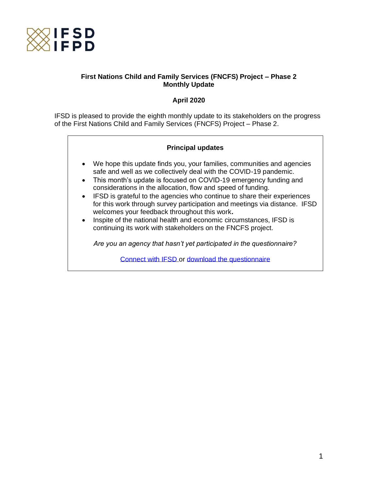

# **First Nations Child and Family Services (FNCFS) Project – Phase 2 Monthly Update**

# **April 2020**

IFSD is pleased to provide the eighth monthly update to its stakeholders on the progress of the First Nations Child and Family Services (FNCFS) Project – Phase 2.

# **Principal updates**

- We hope this update finds you, your families, communities and agencies safe and well as we collectively deal with the COVID-19 pandemic.
- This month's update is focused on COVID-19 emergency funding and considerations in the allocation, flow and speed of funding.
- IFSD is grateful to the agencies who continue to share their experiences for this work through survey participation and meetings via distance. IFSD welcomes your feedback throughout this work**.**
- Inspite of the national health and economic circumstances, IFSD is continuing its work with stakeholders on the FNCFS project.

*Are you an agency that hasn't yet participated in the questionnaire?*

[Connect with IFSD](mailto:helaina.gaspard@ifsd.ca) or [download the questionnaire](https://www.ifsd.ca/web/default/files/FNCFS/EN_Questionnaire%20for%20FNCFS%20agencies.pdf)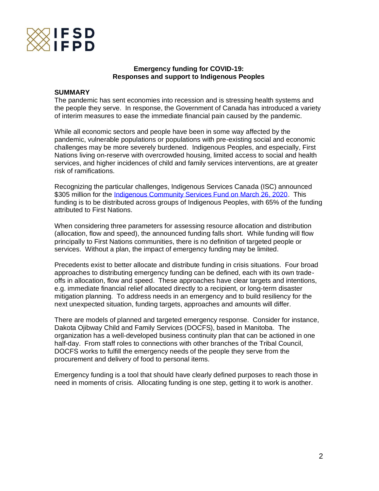

#### **Emergency funding for COVID-19: Responses and support to Indigenous Peoples**

#### **SUMMARY**

The pandemic has sent economies into recession and is stressing health systems and the people they serve. In response, the Government of Canada has introduced a variety of interim measures to ease the immediate financial pain caused by the pandemic.

While all economic sectors and people have been in some way affected by the pandemic, vulnerable populations or populations with pre-existing social and economic challenges may be more severely burdened. Indigenous Peoples, and especially, First Nations living on-reserve with overcrowded housing, limited access to social and health services, and higher incidences of child and family services interventions, are at greater risk of ramifications.

Recognizing the particular challenges, Indigenous Services Canada (ISC) announced \$305 million for the *Indigenous Community Services Fund on March 26, 2020*. This funding is to be distributed across groups of Indigenous Peoples, with 65% of the funding attributed to First Nations.

When considering three parameters for assessing resource allocation and distribution (allocation, flow and speed), the announced funding falls short. While funding will flow principally to First Nations communities, there is no definition of targeted people or services. Without a plan, the impact of emergency funding may be limited.

Precedents exist to better allocate and distribute funding in crisis situations. Four broad approaches to distributing emergency funding can be defined, each with its own tradeoffs in allocation, flow and speed. These approaches have clear targets and intentions, e.g. immediate financial relief allocated directly to a recipient, or long-term disaster mitigation planning. To address needs in an emergency and to build resiliency for the next unexpected situation, funding targets, approaches and amounts will differ.

There are models of planned and targeted emergency response. Consider for instance, Dakota Ojibway Child and Family Services (DOCFS), based in Manitoba. The organization has a well-developed business continuity plan that can be actioned in one half-day. From staff roles to connections with other branches of the Tribal Council, DOCFS works to fulfill the emergency needs of the people they serve from the procurement and delivery of food to personal items.

Emergency funding is a tool that should have clearly defined purposes to reach those in need in moments of crisis. Allocating funding is one step, getting it to work is another.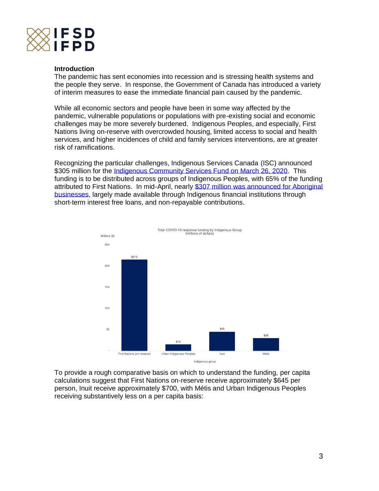

#### **Introduction**

The pandemic has sent economies into recession and is stressing health systems and the people they serve. In response, the Government of Canada has introduced a variety of interim measures to ease the immediate financial pain caused by the pandemic.

While all economic sectors and people have been in some way affected by the pandemic, vulnerable populations or populations with pre-existing social and economic challenges may be more severely burdened. Indigenous Peoples, and especially, First Nations living on-reserve with overcrowded housing, limited access to social and health services, and higher incidences of child and family services interventions, are at greater risk of ramifications.

Recognizing the particular challenges, Indigenous Services Canada (ISC) announced \$305 million for the [Indigenous Community Services Fund on March 26, 2020.](https://www.canada.ca/en/indigenous-services-canada/news/2020/03/addressing-urgent-needs-in-indigenous-communities-related-to-covid-19.html) This funding is to be distributed across groups of Indigenous Peoples, with 65% of the funding attributed to First Nations. In mid-April, nearly \$307 million was announced for Aboriginal [businesses,](https://www.canada.ca/en/department-finance/economic-response-plan.html#businesses) largely made available through Indigenous financial institutions through short-term interest free loans, and non-repayable contributions.



To provide a rough comparative basis on which to understand the funding, per capita calculations suggest that First Nations on-reserve receive approximately \$645 per person, Inuit receive approximately \$700, with Métis and Urban Indigenous Peoples receiving substantively less on a per capita basis: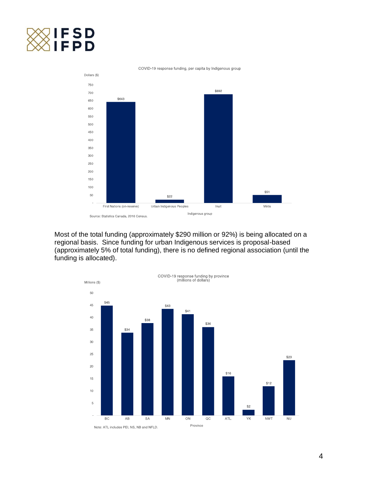



Most of the total funding (approximately \$290 million or 92%) is being allocated on a regional basis. Since funding for urban Indigenous services is proposal-based (approximately 5% of total funding), there is no defined regional association (until the funding is allocated).



COVID-19 response funding, per capita by Indigenous group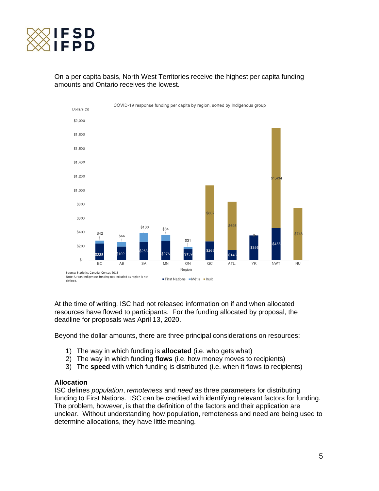

# On a per capita basis, North West Territories receive the highest per capita funding amounts and Ontario receives the lowest.



At the time of writing, ISC had not released information on if and when allocated resources have flowed to participants. For the funding allocated by proposal, the deadline for proposals was April 13, 2020.

Beyond the dollar amounts, there are three principal considerations on resources:

- 1) The way in which funding is **allocated** (i.e. who gets what)
- 2) The way in which funding **flows** (i.e. how money moves to recipients)
- 3) The **speed** with which funding is distributed (i.e. when it flows to recipients)

#### **Allocation**

ISC defines *population*, *remoteness* and *need* as three parameters for distributing funding to First Nations. ISC can be credited with identifying relevant factors for funding. The problem, however, is that the definition of the factors and their application are unclear. Without understanding how population, remoteness and need are being used to determine allocations, they have little meaning.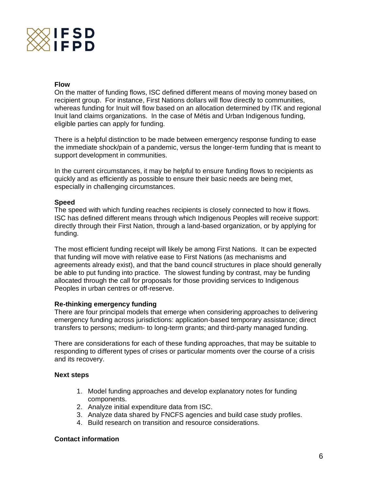

#### **Flow**

On the matter of funding flows, ISC defined different means of moving money based on recipient group. For instance, First Nations dollars will flow directly to communities, whereas funding for Inuit will flow based on an allocation determined by ITK and regional Inuit land claims organizations. In the case of Métis and Urban Indigenous funding, eligible parties can apply for funding.

There is a helpful distinction to be made between emergency response funding to ease the immediate shock/pain of a pandemic, versus the longer-term funding that is meant to support development in communities.

In the current circumstances, it may be helpful to ensure funding flows to recipients as quickly and as efficiently as possible to ensure their basic needs are being met, especially in challenging circumstances.

#### **Speed**

The speed with which funding reaches recipients is closely connected to how it flows. ISC has defined different means through which Indigenous Peoples will receive support: directly through their First Nation, through a land-based organization, or by applying for funding.

The most efficient funding receipt will likely be among First Nations. It can be expected that funding will move with relative ease to First Nations (as mechanisms and agreements already exist), and that the band council structures in place should generally be able to put funding into practice. The slowest funding by contrast, may be funding allocated through the call for proposals for those providing services to Indigenous Peoples in urban centres or off-reserve.

# **Re-thinking emergency funding**

There are four principal models that emerge when considering approaches to delivering emergency funding across jurisdictions: application-based temporary assistance; direct transfers to persons; medium- to long-term grants; and third-party managed funding.

There are considerations for each of these funding approaches, that may be suitable to responding to different types of crises or particular moments over the course of a crisis and its recovery.

# **Next steps**

- 1. Model funding approaches and develop explanatory notes for funding components.
- 2. Analyze initial expenditure data from ISC.
- 3. Analyze data shared by FNCFS agencies and build case study profiles.
- 4. Build research on transition and resource considerations.

# **Contact information**